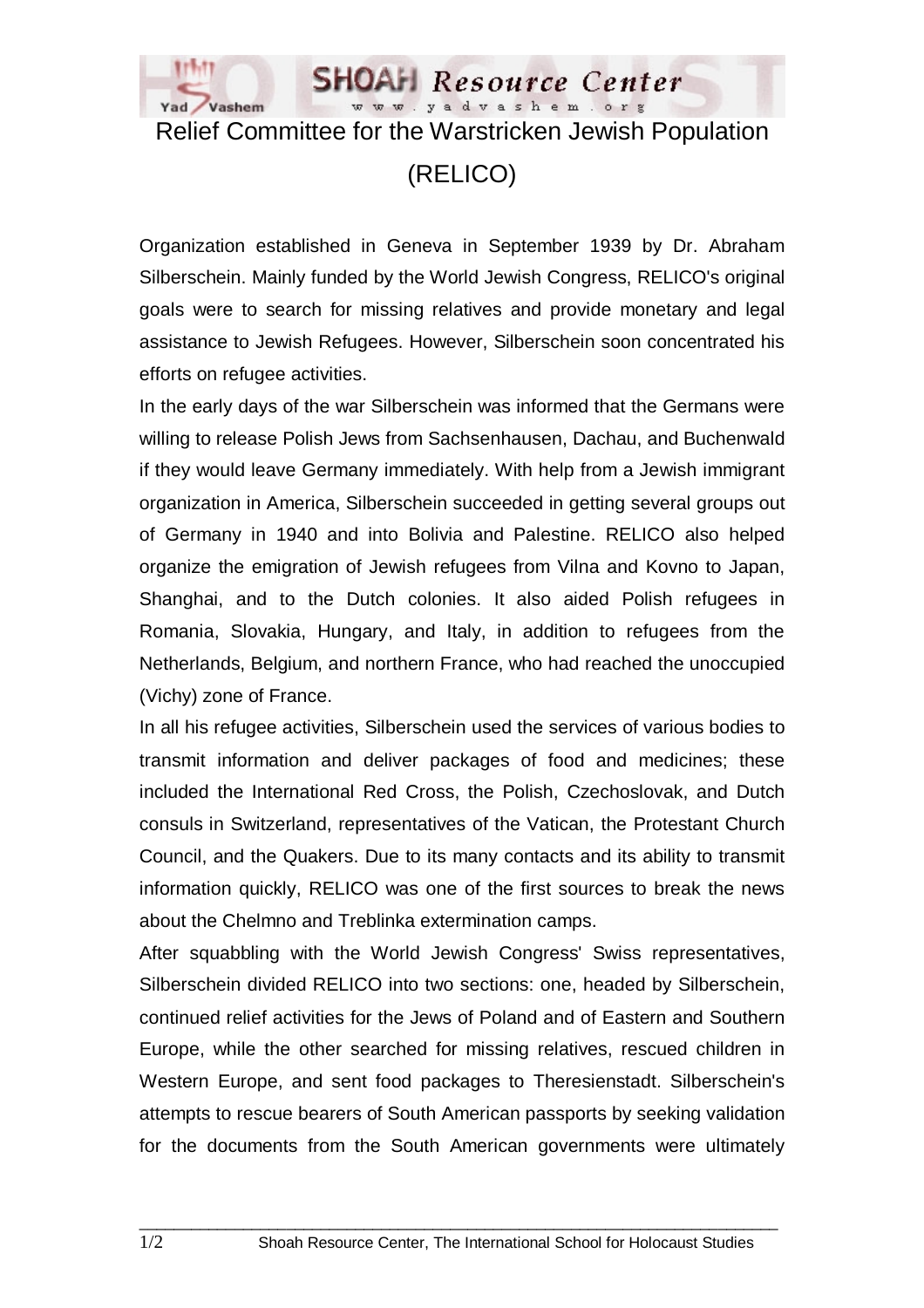

## Relief Committee for the Warstricken Jewish Population

(RELICO)

Organization established in Geneva in September 1939 by Dr. Abraham Silberschein. Mainly funded by the World Jewish Congress, RELICO's original goals were to search for missing relatives and provide monetary and legal assistance to Jewish Refugees. However, Silberschein soon concentrated his efforts on refugee activities.

In the early days of the war Silberschein was informed that the Germans were willing to release Polish Jews from Sachsenhausen, Dachau, and Buchenwald if they would leave Germany immediately. With help from a Jewish immigrant organization in America, Silberschein succeeded in getting several groups out of Germany in 1940 and into Bolivia and Palestine. RELICO also helped organize the emigration of Jewish refugees from Vilna and Kovno to Japan, Shanghai, and to the Dutch colonies. It also aided Polish refugees in Romania, Slovakia, Hungary, and Italy, in addition to refugees from the Netherlands, Belgium, and northern France, who had reached the unoccupied (Vichy) zone of France.

In all his refugee activities, Silberschein used the services of various bodies to transmit information and deliver packages of food and medicines; these included the International Red Cross, the Polish, Czechoslovak, and Dutch consuls in Switzerland, representatives of the Vatican, the Protestant Church Council, and the Quakers. Due to its many contacts and its ability to transmit information quickly, RELICO was one of the first sources to break the news about the Chelmno and Treblinka extermination camps.

After squabbling with the World Jewish Congress' Swiss representatives, Silberschein divided RELICO into two sections: one, headed by Silberschein, continued relief activities for the Jews of Poland and of Eastern and Southern Europe, while the other searched for missing relatives, rescued children in Western Europe, and sent food packages to Theresienstadt. Silberschein's attempts to rescue bearers of South American passports by seeking validation for the documents from the South American governments were ultimately

 $\_$  ,  $\_$  ,  $\_$  ,  $\_$  ,  $\_$  ,  $\_$  ,  $\_$  ,  $\_$  ,  $\_$  ,  $\_$  ,  $\_$  ,  $\_$  ,  $\_$  ,  $\_$  ,  $\_$  ,  $\_$  ,  $\_$  ,  $\_$  ,  $\_$